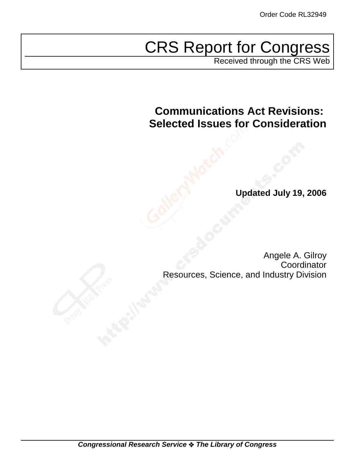# CRS Report for Congress

Received through the CRS Web

# **Communications Act Revisions: Selected Issues for Consideration**

**Updated July 19, 2006**

Angele A. Gilroy **Coordinator** Resources, Science, and Industry Division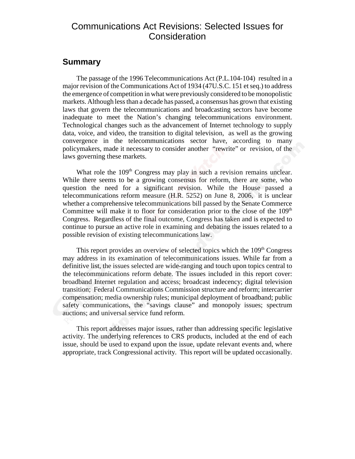### Communications Act Revisions: Selected Issues for Consideration

### **Summary**

The passage of the 1996 Telecommunications Act (P.L.104-104) resulted in a major revision of the Communications Act of 1934 (47U.S.C. 151 et seq.) to address the emergence of competition in what were previously considered to be monopolistic markets. Although less than a decade has passed, a consensus has grown that existing laws that govern the telecommunications and broadcasting sectors have become inadequate to meet the Nation's changing telecommunications environment. Technological changes such as the advancement of Internet technology to supply data, voice, and video, the transition to digital television, as well as the growing convergence in the telecommunications sector have, according to many policymakers, made it necessary to consider another "rewrite" or revision, of the laws governing these markets.

What role the  $109<sup>th</sup>$  Congress may play in such a revision remains unclear. While there seems to be a growing consensus for reform, there are some, who question the need for a significant revision. While the House passed a telecommunications reform measure (H.R. 5252) on June 8, 2006, it is unclear whether a comprehensive telecommunications bill passed by the Senate Commerce Committee will make it to floor for consideration prior to the close of the  $109<sup>th</sup>$ Congress. Regardless of the final outcome, Congress has taken and is expected to continue to pursue an active role in examining and debating the issues related to a possible revision of existing telecommunications law.

This report provides an overview of selected topics which the 109<sup>th</sup> Congress may address in its examination of telecommunications issues. While far from a definitive list, the issues selected are wide-ranging and touch upon topics central to the telecommunications reform debate. The issues included in this report cover: broadband Internet regulation and access; broadcast indecency; digital television transition; Federal Communications Commission structure and reform; intercarrier compensation; media ownership rules; municipal deployment of broadband; public safety communications, the "savings clause" and monopoly issues; spectrum auctions; and universal service fund reform.

This report addresses major issues, rather than addressing specific legislative activity. The underlying references to CRS products, included at the end of each issue, should be used to expand upon the issue, update relevant events and, where appropriate, track Congressional activity. This report will be updated occasionally.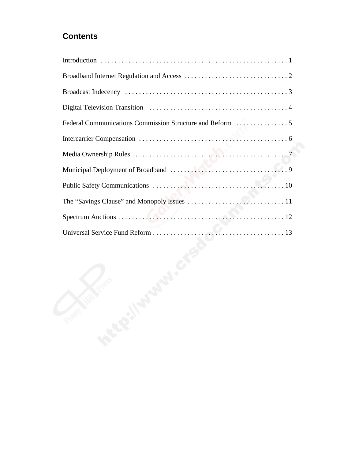### **Contents**

| ್ತಲ<br><b>BERRY</b> |
|---------------------|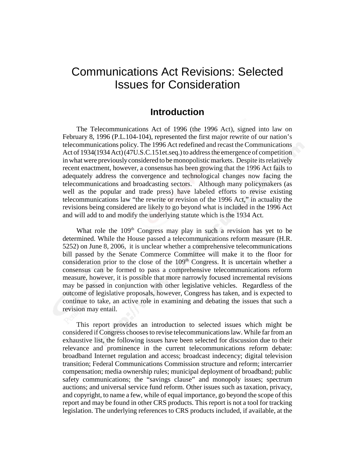## Communications Act Revisions: Selected Issues for Consideration

### **Introduction**

The Telecommunications Act of 1996 (the 1996 Act), signed into law on February 8, 1996 (P.L.104-104), represented the first major rewrite of our nation's telecommunications policy. The 1996 Act redefined and recast the Communications Act of 1934(1934 Act) (47U.S.C.151et.seq.) to address the emergence of competition in what were previously considered to be monopolistic markets. Despite its relatively recent enactment, however, a consensus has been growing that the 1996 Act fails to adequately address the convergence and technological changes now facing the telecommunications and broadcasting sectors. Although many policymakers (as well as the popular and trade press) have labeled efforts to revise existing telecommunications law "the rewrite or revision of the 1996 Act," in actuality the revisions being considered are likely to go beyond what is included in the 1996 Act and will add to and modify the underlying statute which is the 1934 Act.

What role the  $109<sup>th</sup>$  Congress may play in such a revision has yet to be determined. While the House passed a telecommunications reform measure (H.R. 5252) on June 8, 2006, it is unclear whether a comprehensive telecommunications bill passed by the Senate Commerce Committee will make it to the floor for consideration prior to the close of the  $109<sup>th</sup>$  Congress. It is uncertain whether a consensus can be formed to pass a comprehensive telecommunications reform measure, however, it is possible that more narrowly focused incremental revisions may be passed in conjunction with other legislative vehicles. Regardless of the outcome of legislative proposals, however, Congress has taken, and is expected to continue to take, an active role in examining and debating the issues that such a revision may entail.

This report provides an introduction to selected issues which might be considered if Congress chooses to revise telecommunications law. While far from an exhaustive list, the following issues have been selected for discussion due to their relevance and prominence in the current telecommunications reform debate: broadband Internet regulation and access; broadcast indecency; digital television transition; Federal Communications Commission structure and reform; intercarrier compensation; media ownership rules; municipal deployment of broadband; public safety communications; the "savings clause" and monopoly issues; spectrum auctions; and universal service fund reform. Other issues such as taxation, privacy, and copyright, to name a few, while of equal importance, go beyond the scope of this report and may be found in other CRS products. This report is not a tool for tracking legislation. The underlying references to CRS products included, if available, at the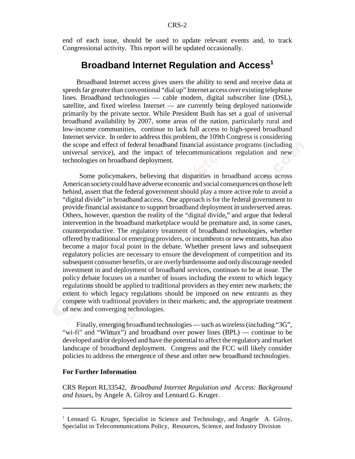end of each issue, should be used to update relevant events and, to track Congressional activity. This report will be updated occasionally.

### **Broadband Internet Regulation and Access<sup>1</sup>**

Broadband Internet access gives users the ability to send and receive data at speeds far greater than conventional "dial up" Internet access over existing telephone lines. Broadband technologies — cable modem, digital subscriber line (DSL), satellite, and fixed wireless Internet — are currently being deployed nationwide primarily by the private sector. While President Bush has set a goal of universal broadband availability by 2007, some areas of the nation, particularly rural and low-income communities, continue to lack full access to high-speed broadband Internet service. In order to address this problem, the 109th Congress is considering the scope and effect of federal broadband financial assistance programs (including universal service), and the impact of telecommunications regulation and new technologies on broadband deployment.

 Some policymakers, believing that disparities in broadband access across American society could have adverse economic and social consequences on those left behind, assert that the federal government should play a more active role to avoid a "digital divide" in broadband access. One approach is for the federal government to provide financial assistance to support broadband deployment in underserved areas. Others, however, question the reality of the "digital divide," and argue that federal intervention in the broadband marketplace would be premature and, in some cases, counterproductive. The regulatory treatment of broadband technologies, whether offered by traditional or emerging providers, or incumbents or new entrants, has also become a major focal point in the debate. Whether present laws and subsequent regulatory policies are necessary to ensure the development of competition and its subsequent consumer benefits, or are overly burdensome and only discourage needed investment in and deployment of broadband services, continues to be at issue. The policy debate focuses on a number of issues including the extent to which legacy regulations should be applied to traditional providers as they enter new markets; the extent to which legacy regulations should be imposed on new entrants as they compete with traditional providers in their markets; and, the appropriate treatment of new and converging technologies.

Finally, emerging broadband technologies — such as wireless (including "3G", "wi-fi" and "Wimax") and broadband over power lines (BPL) — continue to be developed and/or deployed and have the potential to affect the regulatory and market landscape of broadband deployment. Congress and the FCC will likely consider policies to address the emergence of these and other new broadband technologies.

#### **For Further Information**

CRS Report RL33542, *Broadband Internet Regulation and Access: Background and Issues*, by Angele A. Gilroy and Lennard G. Kruger.

<sup>&</sup>lt;sup>1</sup> Lennard G. Kruger, Specialist in Science and Technology, and Angele A. Gilroy, Specialist in Telecommunications Policy, Resources, Science, and Industry Division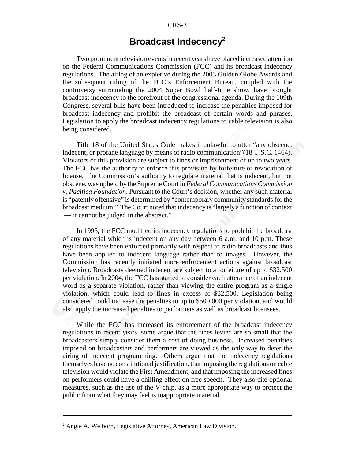### **Broadcast Indecency2**

Two prominent television events in recent years have placed increased attention on the Federal Communications Commission (FCC) and its broadcast indecency regulations. The airing of an expletive during the 2003 Golden Globe Awards and the subsequent ruling of the FCC's Enforcement Bureau, coupled with the controversy surrounding the 2004 Super Bowl half-time show, have brought broadcast indecency to the forefront of the congressional agenda. During the 109th Congress, several bills have been introduced to increase the penalties imposed for broadcast indecency and prohibit the broadcast of certain words and phrases. Legislation to apply the broadcast indecency regulations to cable television is also being considered.

Title 18 of the United States Code makes it unlawful to utter "any obscene, indecent, or profane language by means of radio communication"(18 U.S.C. 1464). Violators of this provision are subject to fines or imprisonment of up to two years. The FCC has the authority to enforce this provision by forfeiture or revocation of license. The Commission's authority to regulate material that is indecent, but not obscene, was upheld by the Supreme Court in *Federal Communications Commission v. Pacifica Foundation*. Pursuant to the Court's decision, whether any such material is "patently offensive" is determined by "contemporary community standards for the broadcast medium." The Court noted that indecency is "largely a function of context — it cannot be judged in the abstract."

In 1995, the FCC modified its indecency regulations to prohibit the broadcast of any material which is indecent on any day between 6 a.m. and 10 p.m. These regulations have been enforced primarily with respect to radio broadcasts and thus have been applied to indecent language rather than to images. However, the Commission has recently initiated more enforcement actions against broadcast television. Broadcasts deemed indecent are subject to a forfeiture of up to \$32,500 per violation. In 2004, the FCC has started to consider each utterance of an indecent word as a separate violation, rather than viewing the entire program as a single violation, which could lead to fines in excess of \$32,500. Legislation being considered could increase the penalties to up to \$500,000 per violation, and would also apply the increased penalties to performers as well as broadcast licensees.

While the FCC has increased its enforcement of the broadcast indecency regulations in recent years, some argue that the fines levied are so small that the broadcasters simply consider them a cost of doing business. Increased penalties imposed on broadcasters and performers are viewed as the only way to deter the airing of indecent programming. Others argue that the indecency regulations themselves have no constitutional justification, that imposing the regulations on cable television would violate the First Amendment, and that imposing the increased fines on performers could have a chilling effect on free speech. They also cite optional measures, such as the use of the V-chip, as a more appropriate way to protect the public from what they may feel is inappropriate material.

<sup>&</sup>lt;sup>2</sup> Angie A. Welborn, Legislative Attorney, American Law Division.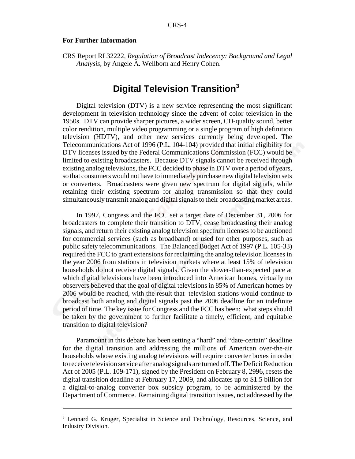#### **For Further Information**

CRS Report RL32222, *Regulation of Broadcast Indecency: Background and Legal Analysis*, by Angele A. Wellborn and Henry Cohen.

### **Digital Television Transition3**

Digital television (DTV) is a new service representing the most significant development in television technology since the advent of color television in the 1950s. DTV can provide sharper pictures, a wider screen, CD-quality sound, better color rendition, multiple video programming or a single program of high definition television (HDTV), and other new services currently being developed. The Telecommunications Act of 1996 (P.L. 104-104) provided that initial eligibility for DTV licenses issued by the Federal Communications Commission (FCC) would be limited to existing broadcasters. Because DTV signals cannot be received through existing analog televisions, the FCC decided to phase in DTV over a period of years, so that consumers would not have to immediately purchase new digital television sets or converters. Broadcasters were given new spectrum for digital signals, while retaining their existing spectrum for analog transmission so that they could simultaneously transmit analog and digital signals to their broadcasting market areas.

In 1997, Congress and the FCC set a target date of December 31, 2006 for broadcasters to complete their transition to DTV, cease broadcasting their analog signals, and return their existing analog television spectrum licenses to be auctioned for commercial services (such as broadband) or used for other purposes, such as public safety telecommunications. The Balanced Budget Act of 1997 (P.L. 105-33) required the FCC to grant extensions for reclaiming the analog television licenses in the year 2006 from stations in television markets where at least 15% of television households do not receive digital signals. Given the slower-than-expected pace at which digital televisions have been introduced into American homes, virtually no observers believed that the goal of digital televisions in 85% of American homes by 2006 would be reached, with the result that television stations would continue to broadcast both analog and digital signals past the 2006 deadline for an indefinite period of time. The key issue for Congress and the FCC has been: what steps should be taken by the government to further facilitate a timely, efficient, and equitable transition to digital television?

Paramount in this debate has been setting a "hard" and "date-certain" deadline for the digital transition and addressing the millions of American over-the-air households whose existing analog televisions will require converter boxes in order to receive television service after analog signals are turned off. The Deficit Reduction Act of 2005 (P.L. 109-171), signed by the President on February 8, 2996, resets the digital transition deadline at February 17, 2009, and allocates up to \$1.5 billion for a digital-to-analog converter box subsidy program, to be administered by the Department of Commerce. Remaining digital transition issues, not addressed by the

<sup>&</sup>lt;sup>3</sup> Lennard G. Kruger, Specialist in Science and Technology, Resources, Science, and Industry Division.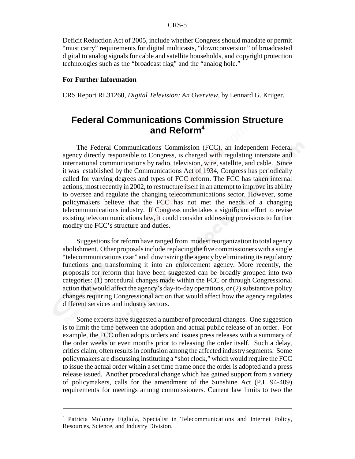Deficit Reduction Act of 2005, include whether Congress should mandate or permit "must carry" requirements for digital multicasts, "downconversion" of broadcasted digital to analog signals for cable and satellite households, and copyright protection technologies such as the "broadcast flag" and the "analog hole."

#### **For Further Information**

CRS Report RL31260, *Digital Television: An Overview*, by Lennard G. Kruger.

### **Federal Communications Commission Structure and Reform4**

The Federal Communications Commission (FCC), an independent Federal agency directly responsible to Congress, is charged with regulating interstate and international communications by radio, television, wire, satellite, and cable. Since it was established by the Communications Act of 1934, Congress has periodically called for varying degrees and types of FCC reform. The FCC has taken internal actions, most recently in 2002, to restructure itself in an attempt to improve its ability to oversee and regulate the changing telecommunications sector. However, some policymakers believe that the FCC has not met the needs of a changing telecommunications industry. If Congress undertakes a significant effort to revise existing telecommunications law, it could consider addressing provisions to further modify the FCC's structure and duties.

Suggestions for reform have ranged from modest reorganization to total agency abolishment. Other proposals include replacing the five commissioners with a single "telecommunications czar" and downsizing the agency by eliminating its regulatory functions and transforming it into an enforcement agency. More recently, the proposals for reform that have been suggested can be broadly grouped into two categories: (1) procedural changes made within the FCC or through Congressional action that would affect the agency's day-to-day operations, or (2) substantive policy changes requiring Congressional action that would affect how the agency regulates different services and industry sectors.

Some experts have suggested a number of procedural changes. One suggestion is to limit the time between the adoption and actual public release of an order. For example, the FCC often adopts orders and issues press releases with a summary of the order weeks or even months prior to releasing the order itself. Such a delay, critics claim, often results in confusion among the affected industry segments. Some policymakers are discussing instituting a "shot clock," which would require the FCC to issue the actual order within a set time frame once the order is adopted and a press release issued. Another procedural change which has gained support from a variety of policymakers, calls for the amendment of the Sunshine Act (P.L 94-409) requirements for meetings among commissioners. Current law limits to two the

<sup>4</sup> Patricia Moloney Figliola, Specialist in Telecommunications and Internet Policy, Resources, Science, and Industry Division.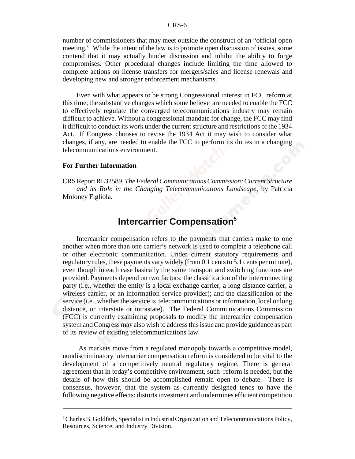number of commissioners that may meet outside the construct of an "official open meeting." While the intent of the law is to promote open discussion of issues, some contend that it may actually hinder discussion and inhibit the ability to forge compromises. Other procedural changes include limiting the time allowed to complete actions on license transfers for mergers/sales and license renewals and developing new and stronger enforcement mechanisms.

Even with what appears to be strong Congressional interest in FCC reform at this time, the substantive changes which some believe are needed to enable the FCC to effectively regulate the converged telecommunications industry may remain difficult to achieve. Without a congressional mandate for change, the FCC may find it difficult to conduct its work under the current structure and restrictions of the 1934 Act. If Congress chooses to revise the 1934 Act it may wish to consider what changes, if any, are needed to enable the FCC to perform its duties in a changing telecommunications environment.

#### **For Further Information**

CRS Report RL32589, *The Federal Communications Commission: Current Structure and its Role in the Changing Telecommunications Landscape*, by Patricia Moloney Figliola.

### **Intercarrier Compensation5**

Intercarrier compensation refers to the payments that carriers make to one another when more than one carrier's network is used to complete a telephone call or other electronic communication. Under current statutory requirements and regulatory rules, these payments vary widely (from 0.1 cents to 5.1 cents per minute), even though in each case basically the same transport and switching functions are provided. Payments depend on two factors: the classification of the interconnecting party (i.e., whether the entity is a local exchange carrier, a long distance carrier, a wireless carrier, or an information service provider); and the classification of the service (i.e., whether the service is telecommunications or information, local or long distance, or interstate or intrastate). The Federal Communications Commission (FCC) is currently examining proposals to modify the intercarrier compensation system and Congress may also wish to address this issue and provide guidance as part of its review of existing telecommunications law.

 As markets move from a regulated monopoly towards a competitive model, nondiscriminatory intercarrier compensation reform is considered to be vital to the development of a competitively neutral regulatory regime. There is general agreement that in today's competitive environment, such reform is needed, but the details of how this should be accomplished remain open to debate. There is consensus, however, that the system as currently designed tends to have the following negative effects: distorts investment and undermines efficient competition

<sup>&</sup>lt;sup>5</sup> Charles B. Goldfarb, Specialist in Industrial Organization and Telecommunications Policy, Resources, Science, and Industry Division.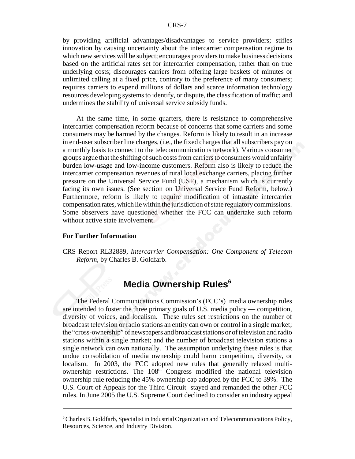by providing artificial advantages/disadvantages to service providers; stifles innovation by causing uncertainty about the intercarrier compensation regime to which new services will be subject; encourages providers to make business decisions based on the artificial rates set for intercarrier compensation, rather than on true underlying costs; discourages carriers from offering large baskets of minutes or unlimited calling at a fixed price, contrary to the preference of many consumers; requires carriers to expend millions of dollars and scarce information technology resources developing systems to identify, or dispute, the classification of traffic; and undermines the stability of universal service subsidy funds.

At the same time, in some quarters, there is resistance to comprehensive intercarrier compensation reform because of concerns that some carriers and some consumers may be harmed by the changes. Reform is likely to result in an increase in end-user subscriber line charges, (i.e., the fixed charges that all subscribers pay on a monthly basis to connect to the telecommunications network). Various consumer groups argue that the shifting of such costs from carriers to consumers would unfairly burden low-usage and low-income customers. Reform also is likely to reduce the intercarrier compensation revenues of rural local exchange carriers, placing further pressure on the Universal Service Fund (USF), a mechanism which is currently facing its own issues. (See section on Universal Service Fund Reform, below.) Furthermore, reform is likely to require modification of intrastate intercarrier compensation rates, which lie within the jurisdiction of state regulatory commissions. Some observers have questioned whether the FCC can undertake such reform without active state involvement.

#### **For Further Information**

CRS Report RL32889, *Intercarrier Compensation: One Component of Telecom Reform*, by Charles B. Goldfarb.

### **Media Ownership Rules<sup>6</sup>**

The Federal Communications Commission's (FCC's) media ownership rules are intended to foster the three primary goals of U.S. media policy — competition, diversity of voices, and localism. These rules set restrictions on the number of broadcast television or radio stations an entity can own or control in a single market; the "cross-ownership" of newspapers and broadcast stations or of television and radio stations within a single market; and the number of broadcast television stations a single network can own nationally. The assumption underlying these rules is that undue consolidation of media ownership could harm competition, diversity, or localism. In 2003, the FCC adopted new rules that generally relaxed multiownership restrictions. The  $108<sup>th</sup>$  Congress modified the national television ownership rule reducing the 45% ownership cap adopted by the FCC to 39%. The U.S. Court of Appeals for the Third Circuit stayed and remanded the other FCC rules. In June 2005 the U.S. Supreme Court declined to consider an industry appeal

<sup>&</sup>lt;sup>6</sup> Charles B. Goldfarb, Specialist in Industrial Organization and Telecommunications Policy, Resources, Science, and Industry Division.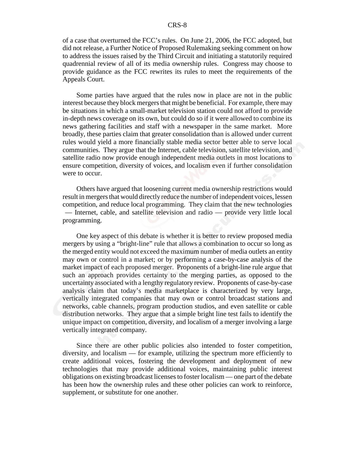of a case that overturned the FCC's rules. On June 21, 2006, the FCC adopted, but did not release, a Further Notice of Proposed Rulemaking seeking comment on how to address the issues raised by the Third Circuit and initiating a statutorily required quadrennial review of all of its media ownership rules. Congress may choose to provide guidance as the FCC rewrites its rules to meet the requirements of the Appeals Court.

Some parties have argued that the rules now in place are not in the public interest because they block mergers that might be beneficial. For example, there may be situations in which a small-market television station could not afford to provide in-depth news coverage on its own, but could do so if it were allowed to combine its news gathering facilities and staff with a newspaper in the same market. More broadly, these parties claim that greater consolidation than is allowed under current rules would yield a more financially stable media sector better able to serve local communities. They argue that the Internet, cable television, satellite television, and satellite radio now provide enough independent media outlets in most locations to ensure competition, diversity of voices, and localism even if further consolidation were to occur.

Others have argued that loosening current media ownership restrictions would result in mergers that would directly reduce the number of independent voices, lessen competition, and reduce local programming. They claim that the new technologies — Internet, cable, and satellite television and radio — provide very little local programming.

One key aspect of this debate is whether it is better to review proposed media mergers by using a "bright-line" rule that allows a combination to occur so long as the merged entity would not exceed the maximum number of media outlets an entity may own or control in a market; or by performing a case-by-case analysis of the market impact of each proposed merger. Proponents of a bright-line rule argue that such an approach provides certainty to the merging parties, as opposed to the uncertainty associated with a lengthy regulatory review. Proponents of case-by-case analysis claim that today's media marketplace is characterized by very large, vertically integrated companies that may own or control broadcast stations and networks, cable channels, program production studios, and even satellite or cable distribution networks. They argue that a simple bright line test fails to identify the unique impact on competition, diversity, and localism of a merger involving a large vertically integrated company.

Since there are other public policies also intended to foster competition, diversity, and localism — for example, utilizing the spectrum more efficiently to create additional voices, fostering the development and deployment of new technologies that may provide additional voices, maintaining public interest obligations on existing broadcast licenses to foster localism — one part of the debate has been how the ownership rules and these other policies can work to reinforce, supplement, or substitute for one another.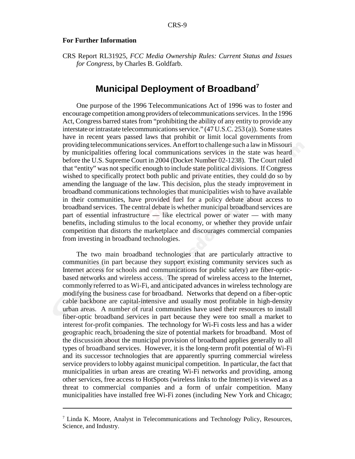#### **For Further Information**

CRS Report RL31925, *FCC Media Ownership Rules: Current Status and Issues for Congress*, by Charles B. Goldfarb.

### **Municipal Deployment of Broadband7**

One purpose of the 1996 Telecommunications Act of 1996 was to foster and encourage competition among providers of telecommunications services. In the 1996 Act, Congress barred states from "prohibiting the ability of any entity to provide any interstate or intrastate telecommunications service." (47 U.S.C. 253 (a)). Some states have in recent years passed laws that prohibit or limit local governments from providing telecommunications services. An effort to challenge such a law in Missouri by municipalities offering local communications services in the state was heard before the U.S. Supreme Court in 2004 (Docket Number 02-1238). The Court ruled that "entity" was not specific enough to include state political divisions. If Congress wished to specifically protect both public and private entities, they could do so by amending the language of the law. This decision, plus the steady improvement in broadband communications technologies that municipalities wish to have available in their communities, have provided fuel for a policy debate about access to broadband services. The central debate is whether municipal broadband services are part of essential infrastructure — like electrical power or water — with many benefits, including stimulus to the local economy, or whether they provide unfair competition that distorts the marketplace and discourages commercial companies from investing in broadband technologies.

The two main broadband technologies that are particularly attractive to communities (in part because they support existing community services such as Internet access for schools and communications for public safety) are fiber-opticbased networks and wireless access. The spread of wireless access to the Internet, commonly referred to as Wi-Fi, and anticipated advances in wireless technology are modifying the business case for broadband. Networks that depend on a fiber-optic cable backbone are capital-intensive and usually most profitable in high-density urban areas. A number of rural communities have used their resources to install fiber-optic broadband services in part because they were too small a market to interest for-profit companies. The technology for Wi-Fi costs less and has a wider geographic reach, broadening the size of potential markets for broadband. Most of the discussion about the municipal provision of broadband applies generally to all types of broadband services. However, it is the long-term profit potential of Wi-Fi and its successor technologies that are apparently spurring commercial wireless service providers to lobby against municipal competition. In particular, the fact that municipalities in urban areas are creating Wi-Fi networks and providing, among other services, free access to HotSpots (wireless links to the Internet) is viewed as a threat to commercial companies and a form of unfair competition. Many municipalities have installed free Wi-Fi zones (including New York and Chicago;

<sup>&</sup>lt;sup>7</sup> Linda K. Moore, Analyst in Telecommunications and Technology Policy, Resources, Science, and Industry.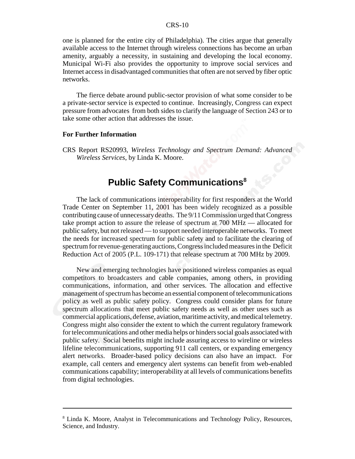one is planned for the entire city of Philadelphia). The cities argue that generally available access to the Internet through wireless connections has become an urban amenity, arguably a necessity, in sustaining and developing the local economy. Municipal Wi-Fi also provides the opportunity to improve social services and Internet access in disadvantaged communities that often are not served by fiber optic networks.

The fierce debate around public-sector provision of what some consider to be a private-sector service is expected to continue. Increasingly, Congress can expect pressure from advocates from both sides to clarify the language of Section 243 or to take some other action that addresses the issue.

#### **For Further Information**

CRS Report RS20993, *Wireless Technology and Spectrum Demand: Advanced Wireless Services*, by Linda K. Moore.

### **Public Safety Communications<sup>8</sup>**

The lack of communications interoperability for first responders at the World Trade Center on September 11, 2001 has been widely recognized as a possible contributing cause of unnecessary deaths. The 9/11 Commission urged that Congress take prompt action to assure the release of spectrum at 700 MHz — allocated for public safety, but not released — to support needed interoperable networks. To meet the needs for increased spectrum for public safety and to facilitate the clearing of spectrum for revenue-generating auctions, Congress included measures in the Deficit Reduction Act of 2005 (P.L. 109-171) that release spectrum at 700 MHz by 2009.

New and emerging technologies have positioned wireless companies as equal competitors to broadcasters and cable companies, among others, in providing communications, information, and other services. The allocation and effective management of spectrum has become an essential component of telecommunications policy as well as public safety policy. Congress could consider plans for future spectrum allocations that meet public safety needs as well as other uses such as commercial applications, defense, aviation, maritime activity, and medical telemetry. Congress might also consider the extent to which the current regulatory framework for telecommunications and other media helps or hinders social goals associated with public safety. Social benefits might include assuring access to wireline or wireless lifeline telecommunications, supporting 911 call centers, or expanding emergency alert networks. Broader-based policy decisions can also have an impact. For example, call centers and emergency alert systems can benefit from web-enabled communications capability; interoperability at all levels of communications benefits from digital technologies.

<sup>&</sup>lt;sup>8</sup> Linda K. Moore, Analyst in Telecommunications and Technology Policy, Resources, Science, and Industry.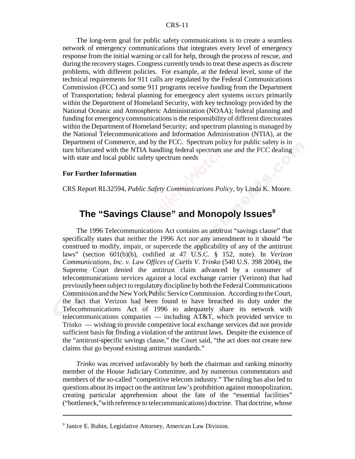The long-term goal for public safety communications is to create a seamless network of emergency communications that integrates every level of emergency response from the initial warning or call for help, through the process of rescue, and during the recovery stages. Congress currently tends to treat these aspects as discrete problems, with different policies. For example, at the federal level, some of the technical requirements for 911 calls are regulated by the Federal Communications Commission (FCC) and some 911 programs receive funding from the Department of Transportation; federal planning for emergency alert systems occurs primarily within the Department of Homeland Security, with key technology provided by the National Oceanic and Atmospheric Administration (NOAA); federal planning and funding for emergency communications is the responsibility of different directorates within the Department of Homeland Security; and spectrum planning is managed by the National Telecommunications and Information Administration (NTIA), at the Department of Commerce, and by the FCC. Spectrum policy for public safety is in turn bifurcated with the NTIA handling federal spectrum use and the FCC dealing with state and local public safety spectrum needs

#### **For Further Information**

CRS Report RL32594, *Public Safety Communications Policy*, by Linda K. Moore.

### The "Savings Clause" and Monopoly Issues<sup>9</sup>

The 1996 Telecommunications Act contains an antitrust "savings clause" that specifically states that neither the 1996 Act nor any amendment to it should "be construed to modify, impair, or supercede the applicability of any of the antitrust laws" (section 601(b)(b), codified at 47 U.S.C. § 152, note). In *Verizon Communications, Inc. v. Law Offices of Curtis V. Trinko* (540 U.S. 398 2004), the Supreme Court denied the antitrust claim advanced by a consumer of telecommunications services against a local exchange carrier (Verizon) that had previously been subject to regulatory discipline by both the Federal Communications Commission and the New York Public Service Commission. According to the Court, the fact that Verizon had been found to have breached its duty under the Telecommunications Act of 1996 to adequately share its network with telecommunications companies — including AT&T, which provided service to Trinko — wishing to provide competitive local exchange services did not provide sufficient basis for finding a violation of the antitrust laws. Despite the existence of the "antitrust-specific savings clause," the Court said, "the act does not create new claims that go beyond existing antitrust standards."

*Trinko* was received unfavorably by both the chairman and ranking minority member of the House Judiciary Committee, and by numerous commentators and members of the so-called "competitive telecom industry." The ruling has also led to questions about its impact on the antitrust law's prohibition against monopolization, creating particular apprehension about the fate of the "essential facilities" ("bottleneck,"with reference to telecommunications) doctrine. That doctrine, whose

<sup>9</sup> Janice E. Rubin, Legislative Attorney, American Law Division.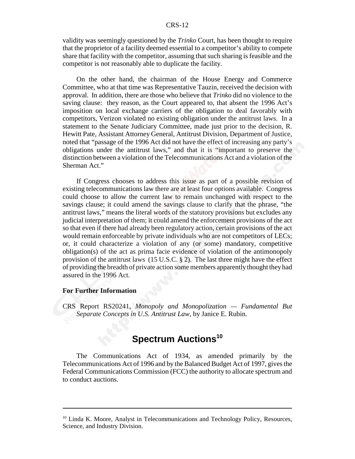validity was seemingly questioned by the *Trinko* Court, has been thought to require that the proprietor of a facility deemed essential to a competitor's ability to compete share that facility with the competitor, assuming that such sharing is feasible and the competitor is not reasonably able to duplicate the facility.

On the other hand, the chairman of the House Energy and Commerce Committee, who at that time was Representative Tauzin, received the decision with approval. In addition, there are those who believe that *Trinko* did no violence to the saving clause: they reason, as the Court appeared to, that absent the 1996 Act's imposition on local exchange carriers of the obligation to deal favorably with competitors, Verizon violated no existing obligation under the antitrust laws. In a statement to the Senate Judiciary Committee, made just prior to the decision, R. Hewitt Pate, Assistant Attorney General, Antitrust Division, Department of Justice, noted that "passage of the 1996 Act did not have the effect of increasing any party's obligations under the antitrust laws," and that it is "important to preserve the distinction between a violation of the Telecommunications Act and a violation of the Sherman Act."

If Congress chooses to address this issue as part of a possible revision of existing telecommunications law there are at least four options available. Congress could choose to allow the current law to remain unchanged with respect to the savings clause; it could amend the savings clause to clarify that the phrase, "the antitrust laws," means the literal words of the statutory provisions but excludes any judicial interpretation of them; it could amend the enforcement provisions of the act so that even if there had already been regulatory action, certain provisions of the act would remain enforceable by private individuals who are not competitors of LECs; or, it could characterize a violation of any (or some) mandatory, competitive obligation(s) of the act as prima facie evidence of violation of the antimonopoly provision of the antitrust laws  $(15 \text{ U.S.C.} \text{ § } 2)$ . The last three might have the effect of providing the breadth of private action some members apparently thought they had assured in the 1996 Act.

#### **For Further Information**

CRS Report RS20241, *Monopoly and Monopolization — Fundamental But Separate Concepts in U.S. Antitrust Law*, by Janice E. Rubin.

### **Spectrum Auctions<sup>10</sup>**

The Communications Act of 1934, as amended primarily by the Telecommunications Act of 1996 and by the Balanced Budget Act of 1997, gives the Federal Communications Commission (FCC) the authority to allocate spectrum and to conduct auctions.

<sup>&</sup>lt;sup>10</sup> Linda K. Moore, Analyst in Telecommunications and Technology Policy, Resources, Science, and Industry Division.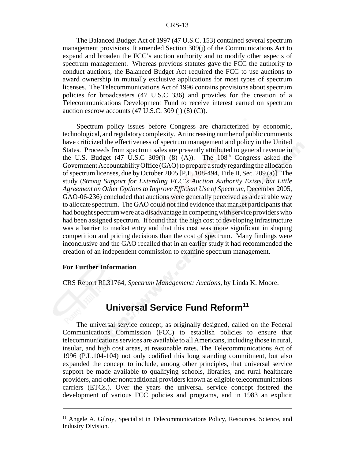The Balanced Budget Act of 1997 (47 U.S.C. 153) contained several spectrum management provisions. It amended Section 309(j) of the Communications Act to expand and broaden the FCC's auction authority and to modify other aspects of spectrum management. Whereas previous statutes gave the FCC the authority to conduct auctions, the Balanced Budget Act required the FCC to use auctions to award ownership in mutually exclusive applications for most types of spectrum licenses. The Telecommunications Act of 1996 contains provisions about spectrum policies for broadcasters (47 U.S.C 336) and provides for the creation of a Telecommunications Development Fund to receive interest earned on spectrum auction escrow accounts  $(47 \text{ U.S.C. } 309 \text{ (j) } (8) \text{ (C)}).$ 

Spectrum policy issues before Congress are characterized by economic, technological, and regulatory complexity. An increasing number of public comments have criticized the effectiveness of spectrum management and policy in the United States. Proceeds from spectrum sales are presently attributed to general revenue in the U.S. Budget (47 U.S.C 309(j) (8) (A)). The  $108<sup>th</sup>$  Congress asked the Government Accountability Office (GAO) to prepare a study regarding the allocation of spectrum licenses, due by October 2005 [P.L. 108-494, Title II, Sec. 209 (a)]. The study (*Strong Support for Extending FCC's Auction Authority Exists, but Little Agreement on Other Options to Improve Efficient Use of Spectrum,* December 2005, GAO-06-236) concluded that auctions were generally perceived as a desirable way to allocate spectrum. The GAO could not find evidence that market participants that had bought spectrum were at a disadvantage in competing with service providers who had been assigned spectrum. It found that the high cost of developing infrastructure was a barrier to market entry and that this cost was more significant in shaping competition and pricing decisions than the cost of spectrum. Many findings were inconclusive and the GAO recalled that in an earlier study it had recommended the creation of an independent commission to examine spectrum management.

#### **For Further Information**

CRS Report RL31764, *Spectrum Management: Auctions*, by Linda K. Moore.

### **Universal Service Fund Reform<sup>11</sup>**

The universal service concept, as originally designed, called on the Federal Communications Commission (FCC) to establish policies to ensure that telecommunications services are available to all Americans, including those in rural, insular, and high cost areas, at reasonable rates. The Telecommunications Act of 1996 (P.L.104-104) not only codified this long standing commitment, but also expanded the concept to include, among other principles, that universal service support be made available to qualifying schools, libraries, and rural healthcare providers, and other nontraditional providers known as eligible telecommunications carriers (ETCs.). Over the years the universal service concept fostered the development of various FCC policies and programs, and in 1983 an explicit

 $11$  Angele A. Gilroy, Specialist in Telecommunications Policy, Resources, Science, and Industry Division.